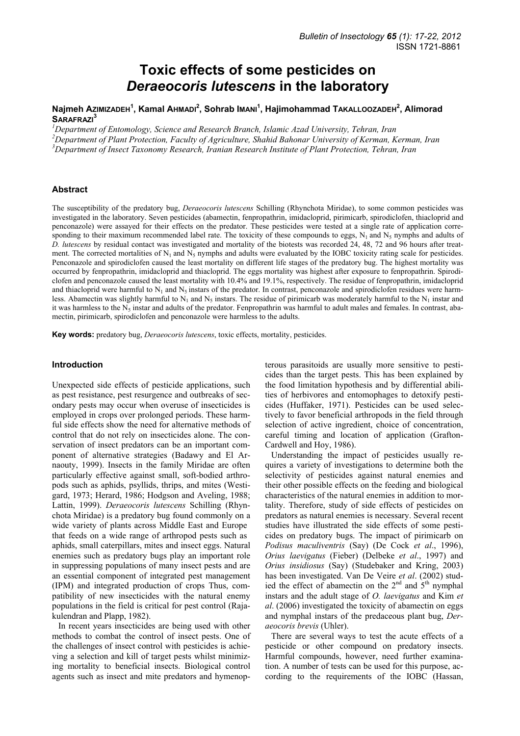# **Toxic effects of some pesticides on**  *Deraeocoris lutescens* **in the laboratory**

## **Najmeh AZIMIZADEH<sup>1</sup> , Kamal AHMADI<sup>2</sup> , Sohrab IMANI<sup>1</sup> , Hajimohammad TAKALLOOZADEH2 , Alimorad SARAFRAZI<sup>3</sup>**

*1 Department of Entomology, Science and Research Branch, Islamic Azad University, Tehran, Iran* 

*2 Department of Plant Protection, Faculty of Agriculture, Shahid Bahonar University of Kerman, Kerman, Iran* 

*3 Department of Insect Taxonomy Research, Iranian Research Institute of Plant Protection, Tehran, Iran* 

## **Abstract**

The susceptibility of the predatory bug, *Deraeocoris lutescens* Schilling (Rhynchota Miridae), to some common pesticides was investigated in the laboratory. Seven pesticides (abamectin, fenpropathrin, imidacloprid, pirimicarb, spirodiclofen, thiacloprid and penconazole) were assayed for their effects on the predator. These pesticides were tested at a single rate of application corresponding to their maximum recommended label rate. The toxicity of these compounds to eggs,  $N_1$  and  $N_5$  nymphs and adults of *D. lutescens* by residual contact was investigated and mortality of the biotests was recorded 24, 48, 72 and 96 hours after treatment. The corrected mortalities of  $N_1$  and  $N_5$  nymphs and adults were evaluated by the IOBC toxicity rating scale for pesticides. Penconazole and spirodiclofen caused the least mortality on different life stages of the predatory bug. The highest mortality was occurred by fenpropathrin, imidacloprid and thiacloprid. The eggs mortality was highest after exposure to fenpropathrin. Spirodiclofen and penconazole caused the least mortality with 10.4% and 19.1%, respectively. The residue of fenpropathrin, imidacloprid and thiacloprid were harmful to  $N_1$  and  $N_5$  instars of the predator. In contrast, penconazole and spirodiclofen residues were harmless. Abamectin was slightly harmful to  $N_1$  and  $N_5$  instars. The residue of pirimicarb was moderately harmful to the  $N_1$  instar and it was harmless to the  $N_5$  instar and adults of the predator. Fenpropathrin was harmful to adult males and females. In contrast, abamectin, pirimicarb, spirodiclofen and penconazole were harmless to the adults.

**Key words:** predatory bug, *Deraeocoris lutescens*, toxic effects, mortality, pesticides.

#### **Introduction**

Unexpected side effects of pesticide applications, such as pest resistance, pest resurgence and outbreaks of secondary pests may occur when overuse of insecticides is employed in crops over prolonged periods. These harmful side effects show the need for alternative methods of control that do not rely on insecticides alone. The conservation of insect predators can be an important component of alternative strategies (Badawy and El Arnaouty, 1999). Insects in the family Miridae are often particularly effective against small, soft-bodied arthropods such as aphids, psyllids, thrips, and mites (Westigard, 1973; Herard, 1986; Hodgson and Aveling, 1988; Lattin, 1999). *Deraeocoris lutescens* Schilling (Rhynchota Miridae) is a predatory bug found commonly on a wide variety of plants across Middle East and Europe that feeds on a wide range of arthropod pests such as aphids, small caterpillars, mites and insect eggs. Natural enemies such as predatory bugs play an important role in suppressing populations of many insect pests and are an essential component of integrated pest management (IPM) and integrated production of crops Thus, compatibility of new insecticides with the natural enemy populations in the field is critical for pest control (Rajakulendran and Plapp, 1982).

In recent years insecticides are being used with other methods to combat the control of insect pests. One of the challenges of insect control with pesticides is achieving a selection and kill of target pests whilst minimizing mortality to beneficial insects. Biological control agents such as insect and mite predators and hymenopterous parasitoids are usually more sensitive to pesticides than the target pests. This has been explained by the food limitation hypothesis and by differential abilities of herbivores and entomophages to detoxify pesticides (Huffaker, 1971). Pesticides can be used selectively to favor beneficial arthropods in the field through selection of active ingredient, choice of concentration, careful timing and location of application (Grafton-Cardwell and Hoy, 1986).

Understanding the impact of pesticides usually requires a variety of investigations to determine both the selectivity of pesticides against natural enemies and their other possible effects on the feeding and biological characteristics of the natural enemies in addition to mortality. Therefore, study of side effects of pesticides on predators as natural enemies is necessary. Several recent studies have illustrated the side effects of some pesticides on predatory bugs. The impact of pirimicarb on *Podisus maculiventris* (Say) (De Cock *et al*., 1996), *Orius laevigatus* (Fieber) (Delbeke *et al*., 1997) and *Orius insidiosus* (Say) (Studebaker and Kring, 2003) has been investigated. Van De Veire *et al*. (2002) studied the effect of abamectin on the  $2<sup>nd</sup>$  and  $5<sup>th</sup>$  nymphal instars and the adult stage of *O. laevigatus* and Kim *et al*. (2006) investigated the toxicity of abamectin on eggs and nymphal instars of the predaceous plant bug, *Deraeocoris brevis* (Uhler).

There are several ways to test the acute effects of a pesticide or other compound on predatory insects. Harmful compounds, however, need further examination. A number of tests can be used for this purpose, according to the requirements of the IOBC (Hassan,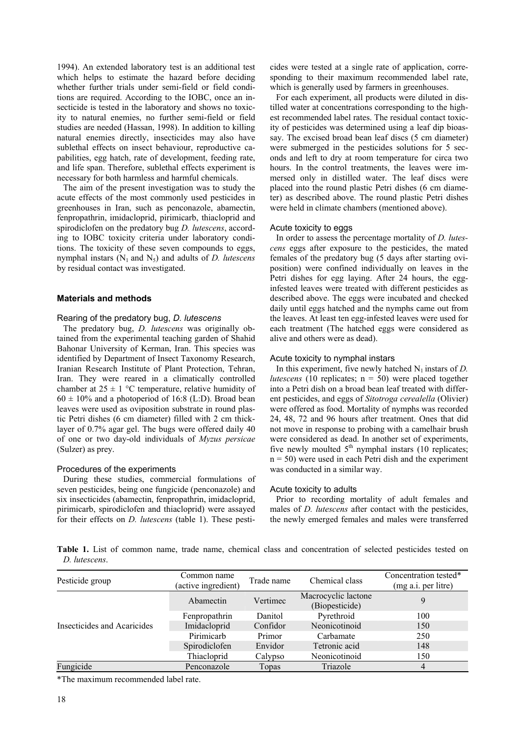1994). An extended laboratory test is an additional test which helps to estimate the hazard before deciding whether further trials under semi-field or field conditions are required. According to the IOBC, once an insecticide is tested in the laboratory and shows no toxicity to natural enemies, no further semi-field or field studies are needed (Hassan, 1998). In addition to killing natural enemies directly, insecticides may also have sublethal effects on insect behaviour, reproductive capabilities, egg hatch, rate of development, feeding rate, and life span. Therefore, sublethal effects experiment is necessary for both harmless and harmful chemicals.

The aim of the present investigation was to study the acute effects of the most commonly used pesticides in greenhouses in Iran, such as penconazole, abamectin, fenpropathrin, imidacloprid, pirimicarb, thiacloprid and spirodiclofen on the predatory bug *D. lutescens*, according to IOBC toxicity criteria under laboratory conditions. The toxicity of these seven compounds to eggs, nymphal instars  $(N_1 \text{ and } N_5)$  and adults of *D. lutescens* by residual contact was investigated.

## **Materials and methods**

## Rearing of the predatory bug, *D. lutescens*

The predatory bug, *D. lutescens* was originally obtained from the experimental teaching garden of Shahid Bahonar University of Kerman, Iran. This species was identified by Department of Insect Taxonomy Research, Iranian Research Institute of Plant Protection, Tehran, Iran. They were reared in a climatically controlled chamber at  $25 \pm 1$  °C temperature, relative humidity of  $60 \pm 10\%$  and a photoperiod of 16:8 (L:D). Broad bean leaves were used as oviposition substrate in round plastic Petri dishes (6 cm diameter) filled with 2 cm thicklayer of 0.7% agar gel. The bugs were offered daily 40 of one or two day-old individuals of *Myzus persicae*  (Sulzer) as prey.

## Procedures of the experiments

During these studies, commercial formulations of seven pesticides, being one fungicide (penconazole) and six insecticides (abamectin, fenpropathrin, imidacloprid, pirimicarb, spirodiclofen and thiacloprid) were assayed for their effects on *D. lutescens* (table 1). These pesticides were tested at a single rate of application, corresponding to their maximum recommended label rate, which is generally used by farmers in greenhouses.

For each experiment, all products were diluted in distilled water at concentrations corresponding to the highest recommended label rates. The residual contact toxicity of pesticides was determined using a leaf dip bioassay. The excised broad bean leaf discs (5 cm diameter) were submerged in the pesticides solutions for 5 seconds and left to dry at room temperature for circa two hours. In the control treatments, the leaves were immersed only in distilled water. The leaf discs were placed into the round plastic Petri dishes (6 cm diameter) as described above. The round plastic Petri dishes were held in climate chambers (mentioned above).

## Acute toxicity to eggs

In order to assess the percentage mortality of *D. lutescens* eggs after exposure to the pesticides, the mated females of the predatory bug (5 days after starting oviposition) were confined individually on leaves in the Petri dishes for egg laying. After 24 hours, the egginfested leaves were treated with different pesticides as described above. The eggs were incubated and checked daily until eggs hatched and the nymphs came out from the leaves. At least ten egg-infested leaves were used for each treatment (The hatched eggs were considered as alive and others were as dead).

## Acute toxicity to nymphal instars

In this experiment, five newly hatched  $N_1$  instars of *D*. *lutescens* (10 replicates;  $n = 50$ ) were placed together into a Petri dish on a broad bean leaf treated with different pesticides, and eggs of *Sitotroga cerealella* (Olivier) were offered as food. Mortality of nymphs was recorded 24, 48, 72 and 96 hours after treatment. Ones that did not move in response to probing with a camelhair brush were considered as dead. In another set of experiments, five newly moulted  $5<sup>th</sup>$  nymphal instars (10 replicates;  $n = 50$ ) were used in each Petri dish and the experiment was conducted in a similar way.

#### Acute toxicity to adults

Prior to recording mortality of adult females and males of *D. lutescens* after contact with the pesticides, the newly emerged females and males were transferred

**Table 1.** List of common name, trade name, chemical class and concentration of selected pesticides tested on *D. lutescens*.

| Pesticide group             | Common name<br>(active ingredient) | Trade name | Chemical class                        | Concentration tested*<br>(mg a.i. per litre) |
|-----------------------------|------------------------------------|------------|---------------------------------------|----------------------------------------------|
|                             | Abamectin                          | Vertimec   | Macrocyclic lactone<br>(Biopesticide) |                                              |
| Insecticides and Acaricides | Fenpropathrin                      | Danitol    | Pyrethroid                            | 100                                          |
|                             | Imidacloprid                       | Confidor   | Neonicotinoid                         | 150                                          |
|                             | Pirimicarb                         | Primor     | Carbamate                             | 250                                          |
|                             | Spirodiclofen                      | Envidor    | Tetronic acid                         | 148                                          |
|                             | Thiacloprid                        | Calypso    | Neonicotinoid                         | 150                                          |
| Fungicide                   | Penconazole                        | Topas      | Triazole                              | 4                                            |

\*The maximum recommended label rate.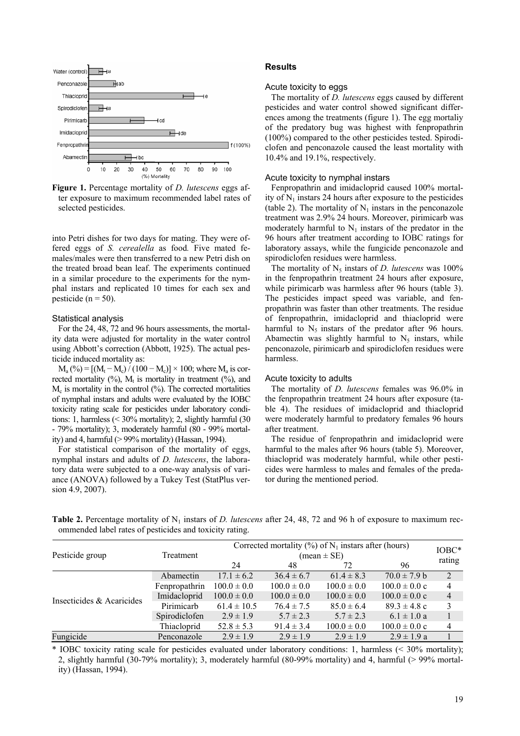

**Figure 1.** Percentage mortality of *D. lutescens* eggs after exposure to maximum recommended label rates of selected pesticides.

into Petri dishes for two days for mating. They were offered eggs of *S. cerealella* as food*.* Five mated females/males were then transferred to a new Petri dish on the treated broad bean leaf. The experiments continued in a similar procedure to the experiments for the nymphal instars and replicated 10 times for each sex and pesticide ( $n = 50$ ).

#### Statistical analysis

For the 24, 48, 72 and 96 hours assessments, the mortality data were adjusted for mortality in the water control using Abbott's correction (Abbott, 1925). The actual pesticide induced mortality as:

 $M_a$  (%) =  $[(M_t - M_c)/(100 - M_c)] \times 100$ ; where  $M_a$  is corrected mortality  $(^{0}_{0})$ ,  $M_{t}$  is mortality in treatment  $(^{0}_{0})$ , and  $M_c$  is mortality in the control  $\left(\frac{9}{6}\right)$ . The corrected mortalities of nymphal instars and adults were evaluated by the IOBC toxicity rating scale for pesticides under laboratory conditions: 1, harmless  $\approx 30\%$  mortality); 2, slightly harmful (30) - 79% mortality); 3, moderately harmful (80 - 99% mortality) and 4, harmful  $(>99\%$  mortality) (Hassan, 1994).

For statistical comparison of the mortality of eggs, nymphal instars and adults of *D. lutescens*, the laboratory data were subjected to a one-way analysis of variance (ANOVA) followed by a Tukey Test (StatPlus version 4.9, 2007).

## **Results**

### Acute toxicity to eggs

The mortality of *D. lutescens* eggs caused by different pesticides and water control showed significant differences among the treatments (figure 1). The egg mortaliy of the predatory bug was highest with fenpropathrin (100%) compared to the other pesticides tested. Spirodiclofen and penconazole caused the least mortality with 10.4% and 19.1%, respectively.

#### Acute toxicity to nymphal instars

Fenpropathrin and imidacloprid caused 100% mortality of  $N_1$  instars 24 hours after exposure to the pesticides (table 2). The mortality of  $N_1$  instars in the penconazole treatment was 2.9% 24 hours. Moreover, pirimicarb was moderately harmful to  $N_1$  instars of the predator in the 96 hours after treatment according to IOBC ratings for laboratory assays, while the fungicide penconazole and spirodiclofen residues were harmless.

The mortality of  $N_5$  instars of *D. lutescens* was  $100\%$ in the fenpropathrin treatment 24 hours after exposure, while pirimicarb was harmless after 96 hours (table 3). The pesticides impact speed was variable, and fenpropathrin was faster than other treatments. The residue of fenpropathrin, imidacloprid and thiacloprid were harmful to  $N_5$  instars of the predator after 96 hours. Abamectin was slightly harmful to  $N_5$  instars, while penconazole, pirimicarb and spirodiclofen residues were harmless.

## Acute toxicity to adults

The mortality of *D. lutescens* females was 96.0% in the fenpropathrin treatment 24 hours after exposure (table 4). The residues of imidacloprid and thiacloprid were moderately harmful to predatory females 96 hours after treatment.

The residue of fenpropathrin and imidacloprid were harmful to the males after 96 hours (table 5). Moreover, thiacloprid was moderately harmful, while other pesticides were harmless to males and females of the predator during the mentioned period.

**Table 2.** Percentage mortality of  $N_1$  instars of *D. lutescens* after 24, 48, 72 and 96 h of exposure to maximum recommended label rates of pesticides and toxicity rating.

| Pesticide group           | Treatment     | Corrected mortality $(\%)$ of N <sub>1</sub> instars after (hours)<br>$mean \pm SE$ |                 |                 |                           |                |
|---------------------------|---------------|-------------------------------------------------------------------------------------|-----------------|-----------------|---------------------------|----------------|
|                           |               | 24                                                                                  | 48              | 72              | 96                        | rating         |
| Insecticides & Acaricides | Abamectin     | $17.1 \pm 6.2$                                                                      | $36.4 \pm 6.7$  | $61.4 \pm 8.3$  | $70.0 \pm 7.9 b$          | $\overline{2}$ |
|                           | Fenpropathrin | $100.0 \pm 0.0$                                                                     | $100.0 \pm 0.0$ | $100.0 \pm 0.0$ | $100.0 \pm 0.0 \text{ c}$ | 4              |
|                           | Imidacloprid  | $100.0 \pm 0.0$                                                                     | $100.0 \pm 0.0$ | $100.0 \pm 0.0$ | $100.0 \pm 0.0 \text{ c}$ | $\overline{4}$ |
|                           | Pirimicarb    | $61.4 \pm 10.5$                                                                     | $76.4 \pm 7.5$  | $85.0 \pm 6.4$  | $89.3 \pm 4.8$ c          | 3              |
|                           | Spirodiclofen | $2.9 \pm 1.9$                                                                       | $5.7 \pm 2.3$   | $5.7 \pm 2.3$   | $6.1 \pm 1.0 a$           |                |
|                           | Thiacloprid   | $52.8 \pm 5.3$                                                                      | $91.4 \pm 3.4$  | $100.0 \pm 0.0$ | $100.0 \pm 0.0 \text{ c}$ | $\overline{4}$ |
| Fungicide                 | Penconazole   | $2.9 \pm 1.9$                                                                       | $2.9 \pm 1.9$   | $2.9 \pm 1.9$   | $2.9 \pm 1.9 a$           |                |

\* IOBC toxicity rating scale for pesticides evaluated under laboratory conditions: 1, harmless (< 30% mortality); 2, slightly harmful (30-79% mortality); 3, moderately harmful (80-99% mortality) and 4, harmful (> 99% mortality) (Hassan, 1994).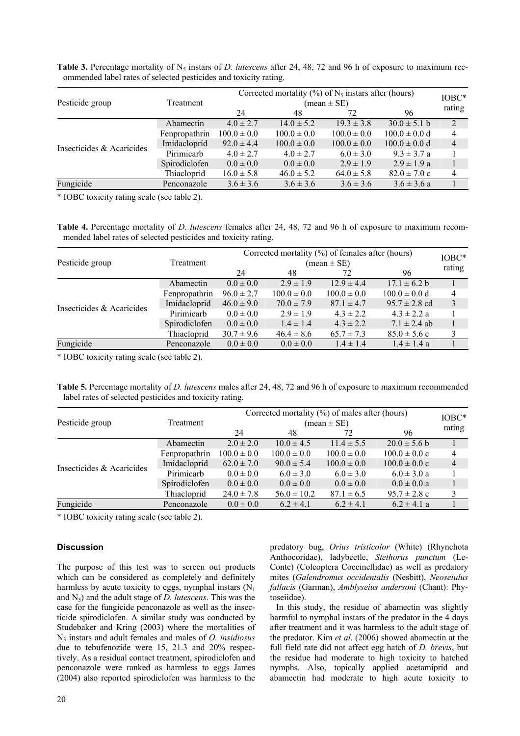| Pesticide group           | Treatment     | Corrected mortality $(\%)$ of N <sub>5</sub> instars after (hours)<br>$(\text{mean} \pm \text{SE})$ |                 |                 |                   |                |
|---------------------------|---------------|-----------------------------------------------------------------------------------------------------|-----------------|-----------------|-------------------|----------------|
|                           |               | 24                                                                                                  | 48              | 72              | 96                | rating         |
| Insecticides & Acaricides | Abamectin     | $4.0 \pm 2.7$                                                                                       | $14.0 \pm 5.2$  | $19.3 \pm 3.8$  | $30.0 \pm 5.1 b$  | 2              |
|                           | Fenpropathrin | $100.0 \pm 0.0$                                                                                     | $100.0 \pm 0.0$ | $100.0 \pm 0.0$ | $100.0 \pm 0.0 d$ | 4              |
|                           | Imidacloprid  | $92.0 \pm 4.4$                                                                                      | $100.0 \pm 0.0$ | $100.0 \pm 0.0$ | $100.0 \pm 0.0 d$ | $\overline{4}$ |
|                           | Pirimicarb    | $4.0 \pm 2.7$                                                                                       | $4.0 \pm 2.7$   | $6.0 \pm 3.0$   | $9.3 \pm 3.7 a$   |                |
|                           | Spirodiclofen | $0.0 \pm 0.0$                                                                                       | $0.0 \pm 0.0$   | $2.9 \pm 1.9$   | $2.9 \pm 1.9 a$   |                |
|                           | Thiacloprid   | $16.0 \pm 5.8$                                                                                      | $46.0 \pm 5.2$  | $64.0 \pm 5.8$  | $82.0 \pm 7.0$ c  | $\overline{4}$ |
| Fungicide                 | Penconazole   | $3.6 \pm 3.6$                                                                                       | $3.6 \pm 3.6$   | $3.6 \pm 3.6$   | $3.6 \pm 3.6 a$   |                |

**Table 3.** Percentage mortality of  $N_5$  instars of *D. lutescens* after 24, 48, 72 and 96 h of exposure to maximum recommended label rates of selected pesticides and toxicity rating.

\* IOBC toxicity rating scale (see table 2).

**Table 4.** Percentage mortality of *D. lutescens* females after 24, 48, 72 and 96 h of exposure to maximum recommended label rates of selected pesticides and toxicity rating.

|                           |               | Corrected mortality (%) of females after (hours) |                 |                 |                   |                |
|---------------------------|---------------|--------------------------------------------------|-----------------|-----------------|-------------------|----------------|
| Pesticide group           | Treatment     | $(\text{mean} \pm \text{SE})$                    |                 |                 |                   |                |
|                           |               | 24                                               | 48              | 72              | 96                | rating         |
| Insecticides & Acaricides | Abamectin     | $0.0 \pm 0.0$                                    | $2.9 \pm 1.9$   | $12.9 \pm 4.4$  | $17.1 \pm 6.2 b$  | 47             |
|                           | Fenpropathrin | $96.0 \pm 2.7$                                   | $100.0 \pm 0.0$ | $100.0 \pm 0.0$ | $100.0 \pm 0.0 d$ | $\overline{4}$ |
|                           | Imidacloprid  | $46.0 \pm 9.0$                                   | $70.0 \pm 7.9$  | $87.1 \pm 4.7$  | $95.7 \pm 2.8$ cd | 3              |
|                           | Pirimicarb    | $0.0 \pm 0.0$                                    | $2.9 \pm 1.9$   | $4.3 \pm 2.2$   | $4.3 \pm 2.2 a$   |                |
|                           | Spirodiclofen | $0.0 \pm 0.0$                                    | $1.4 \pm 1.4$   | $4.3 \pm 2.2$   | $7.1 \pm 2.4$ ab  | 1              |
|                           | Thiacloprid   | $30.7 \pm 9.6$                                   | $46.4 \pm 8.6$  | $65.7 \pm 7.3$  | $85.0 \pm 5.6$ c  | 3              |
| Fungicide                 | Penconazole   | $0.0 \pm 0.0$                                    | $0.0 \pm 0.0$   | $1.4 \pm 1.4$   | $1.4 \pm 1.4 a$   |                |

\* IOBC toxicity rating scale (see table 2).

**Table 5.** Percentage mortality of *D. lutescens* males after 24, 48, 72 and 96 h of exposure to maximum recommended label rates of selected pesticides and toxicity rating.

| Pesticide group           | Treatment     | Corrected mortality (%) of males after (hours)<br>$mean \pm SE$ |                 |                 |                           |                |
|---------------------------|---------------|-----------------------------------------------------------------|-----------------|-----------------|---------------------------|----------------|
|                           |               | 24                                                              | 48              | 72              | 96                        | rating         |
| Insecticides & Acaricides | Abamectin     | $2.0 \pm 2.0$                                                   | $10.0 \pm 4.5$  | $11.4 \pm 5.5$  | $20.0 \pm 5.6 b$          |                |
|                           | Fenpropathrin | $100.0 \pm 0.0$                                                 | $100.0 \pm 0.0$ | $100.0 \pm 0.0$ | $100.0 \pm 0.0 \text{ c}$ | 4              |
|                           | Imidacloprid  | $62.0 \pm 7.0$                                                  | $90.0 \pm 5.4$  | $100.0 \pm 0.0$ | $100.0 \pm 0.0$ c         | $\overline{4}$ |
|                           | Pirimicarb    | $0.0 \pm 0.0$                                                   | $6.0 \pm 3.0$   | $6.0 \pm 3.0$   | $6.0 \pm 3.0 a$           |                |
|                           | Spirodiclofen | $0.0 \pm 0.0$                                                   | $0.0 \pm 0.0$   | $0.0 \pm 0.0$   | $0.0 \pm 0.0 a$           |                |
|                           | Thiacloprid   | $24.0 \pm 7.8$                                                  | $56.0 \pm 10.2$ | $87.1 \pm 6.5$  | $95.7 \pm 2.8$ c          | 3              |
| Fungicide                 | Penconazole   | $0.0 \pm 0.0$                                                   | $6.2 \pm 4.1$   | $6.2 \pm 4.1$   | $6.2 \pm 4.1$ a           |                |

\* IOBC toxicity rating scale (see table 2).

# **Discussion**

The purpose of this test was to screen out products which can be considered as completely and definitely harmless by acute toxicity to eggs, nymphal instars  $(N_1)$ and  $N_5$ ) and the adult stage of *D. lutescens*. This was the case for the fungicide penconazole as well as the insecticide spirodiclofen. A similar study was conducted by Studebaker and Kring (2003) where the mortalities of N3 instars and adult females and males of *O. insidiosus*  due to tebufenozide were 15, 21.3 and 20% respectively. As a residual contact treatment, spirodiclofen and penconazole were ranked as harmless to eggs James (2004) also reported spirodiclofen was harmless to the

predatory bug, *Orius tristicolor* (White) (Rhynchota Anthocoridae), ladybeetle, *Stethorus punctum* (Le-Conte) (Coleoptera Coccinellidae) as well as predatory mites (*Galendromus occidentalis* (Nesbitt), *Neoseiulus fallacis* (Garman), *Amblyseius andersoni* (Chant): Phytoseiidae).

In this study, the residue of abamectin was slightly harmful to nymphal instars of the predator in the 4 days after treatment and it was harmless to the adult stage of the predator. Kim *et al*. (2006) showed abamectin at the full field rate did not affect egg hatch of *D. brevis*, but the residue had moderate to high toxicity to hatched nymphs. Also, topically applied acetamiprid and abamectin had moderate to high acute toxicity to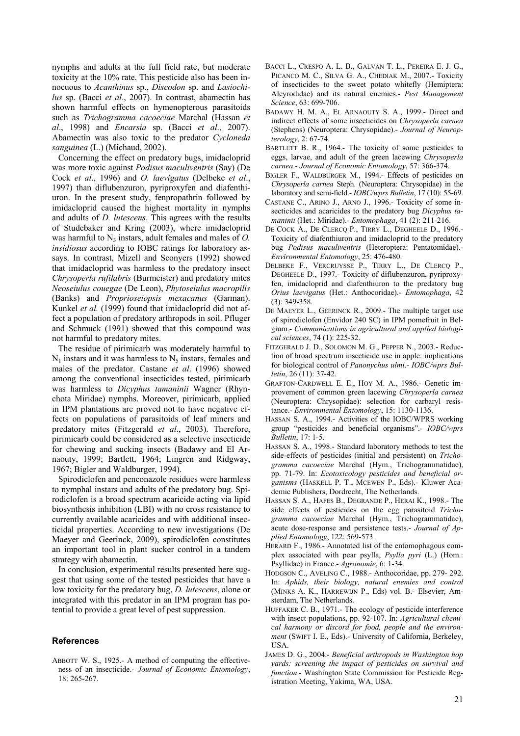nymphs and adults at the full field rate, but moderate toxicity at the 10% rate. This pesticide also has been innocuous to *Acanthinus* sp., *Discodon* sp. and *Lasiochilus* sp. (Bacci *et al*., 2007). In contrast, abamectin has shown harmful effects on hymenopterous parasitoids such as *Trichogramma cacoeciae* Marchal (Hassan *et al*., 1998) and *Encarsia* sp. (Bacci *et al*., 2007). Abamectin was also toxic to the predator *Cycloneda sanguinea* (L.) (Michaud, 2002).

Concerning the effect on predatory bugs, imidacloprid was more toxic against *Podisus maculiventris* (Say) (De Cock *et al*., 1996) and *O. laevigatus* (Delbeke *et al*., 1997) than diflubenzuron, pyriproxyfen and diafenthiuron. In the present study, fenpropathrin followed by imidacloprid caused the highest mortality in nymphs and adults of *D. lutescens*. This agrees with the results of Studebaker and Kring (2003), where imidacloprid was harmful to  $N_3$  instars, adult females and males of  $O$ . *insidiosus* according to IOBC ratings for laboratory assays. In contrast, Mizell and Sconyers (1992) showed that imidacloprid was harmless to the predatory insect *Chrysoperla rufilabris* (Burmeister) and predatory mites *Neoseiulus couegae* (De Leon), *Phytoseiulus macropilis*  (Banks) and *Proprioseiopsis mexacanus* (Garman). Kunkel *et al.* (1999) found that imidacloprid did not affect a population of predatory arthropods in soil. Pfluger and Schmuck (1991) showed that this compound was not harmful to predatory mites.

The residue of pirimicarb was moderately harmful to  $N_1$  instars and it was harmless to  $N_5$  instars, females and males of the predator. Castane *et al*. (1996) showed among the conventional insecticides tested, pirimicarb was harmless to *Dicyphus tamaninii* Wagner (Rhynchota Miridae) nymphs. Moreover, pirimicarb, applied in IPM plantations are proved not to have negative effects on populations of parasitoids of leaf miners and predatory mites (Fitzgerald *et al*., 2003). Therefore, pirimicarb could be considered as a selective insecticide for chewing and sucking insects (Badawy and El Arnaouty, 1999; Bartlett, 1964; Lingren and Ridgway, 1967; Bigler and Waldburger, 1994).

Spirodiclofen and penconazole residues were harmless to nymphal instars and adults of the predatory bug. Spirodiclofen is a broad spectrum acaricide acting via lipid biosynthesis inhibition (LBI) with no cross resistance to currently available acaricides and with additional insecticidal properties. According to new investigations (De Maeyer and Geerinck, 2009), spirodiclofen constitutes an important tool in plant sucker control in a tandem strategy with abamectin.

In conclusion, experimental results presented here suggest that using some of the tested pesticides that have a low toxicity for the predatory bug, *D. lutescens*, alone or integrated with this predator in an IPM program has potential to provide a great level of pest suppression.

## **References**

ABBOTT W. S., 1925.- A method of computing the effectiveness of an insecticide.- *Journal of Economic Entomology*, 18: 265-267.

- BACCI L., CRESPO A. L. B., GALVAN T. L., PEREIRA E. J. G., PICANCO M. C., SILVA G. A., CHEDIAK M., 2007.- Toxicity of insecticides to the sweet potato whitefly (Hemiptera: Aleyrodidae) and its natural enemies.- *Pest Management Science*, 63: 699-706.
- BADAWY H. M. A., EL ARNAOUTY S. A., 1999.- Direct and indirect effects of some insecticides on *Chrysoperla carnea*  (Stephens) (Neuroptera: Chrysopidae).- *Journal of Neuropterology*, 2: 67-74.
- BARTLETT B. R., 1964.- The toxicity of some pesticides to eggs, larvae, and adult of the green lacewing *Chrysoperla carnea*.- *Journal of Economic Entomology*, 57: 366-374.
- BIGLER F., WALDBURGER M., 1994.- Effects of pesticides on *Chrysoperla carnea* Steph. (Neuroptera: Chrysopidae) in the laboratory and semi-field.- *IOBC/wprs Bulletin*, 17 (10): 55-69.
- CASTANE C., ARINO J., ARNO J., 1996.- Toxicity of some insecticides and acaricides to the predatory bug *Dicyphus tamaninii* (Het.: Miridae).- *Entomophaga*, 41 (2): 211-216.
- DE COCK A., DE CLERCQ P., TIRRY L., DEGHEELE D., 1996.- Toxicity of diafenthiuron and imidacloprid to the predatory bug *Podisus maculiventris* (Heteroptera: Pentatomidae).- *Environmental Entomology*, 25: 476-480.
- DELBEKE F., VERCRUYSSE P., TIRRY L., DE CLERCQ P., DEGHEELE D., 1997.- Toxicity of diflubenzuron, pyriproxyfen, imidacloprid and diafenthiuron to the predatory bug *Orius laevigatus* (Het.: Anthocoridae).- *Entomophaga*, 42 (3): 349-358.
- DE MAEYER L., GEERINCK R., 2009.- The multiple target use of spirodiclofen (Envidor 240 SC) in IPM pomefruit in Belgium.- *Communications in agricultural and applied biological sciences*, 74 (1): 225-32.
- FITZGERALD J. D., SOLOMON M. G., PEPPER N., 2003.- Reduction of broad spectrum insecticide use in apple: implications for biological control of *Panonychus ulmi*.- *IOBC/wprs Bulletin*, 26 (11): 37-42.
- GRAFTON-CARDWELL E. E., HOY M. A., 1986.- Genetic improvement of common green lacewing *Chrysoperla carnea* (Neuroptera: Chrysopidae): selection for carbaryl resistance.- *Environmental Entomology*, 15: 1130-1136.
- HASSAN S. A., 1994.- Activities of the IOBC/WPRS working group "pesticides and beneficial organisms".- *IOBC/wprs Bulletin*, 17: 1-5.
- HASSAN S. A., 1998.- Standard laboratory methods to test the side-effects of pesticides (initial and persistent) on *Trichogramma cacoeciae* Marchal (Hym., Trichogrammatidae), pp. 71-79. In: *Ecotoxicology pesticides and beneficial organisms* (HASKELL P. T., MCEWEN P., Eds).- Kluwer Academic Publishers, Dordrecht, The Netherlands.
- HASSAN S. A., HAFES B., DEGRANDE P., HERAI K., 1998.- The side effects of pesticides on the egg parasitoid *Trichogramma cacoeciae* Marchal (Hym., Trichogrammatidae), acute dose-response and persistence tests.- *Journal of Applied Entomology*, 122: 569-573.
- HERARD F., 1986.- Annotated list of the entomophagous complex associated with pear psylla, *Psylla pyri* (L.) (Hom.: Psyllidae) in France.- *Agronomie*, 6: 1-34.
- HODGSON C., AVELING C., 1988.- Anthocoridae, pp. 279- 292. In: *Aphids, their biology, natural enemies and control*  (MINKS A. K., HARREWIJN P., Eds) vol. B.- Elsevier, Amsterdam, The Netherlands.
- HUFFAKER C. B., 1971.- The ecology of pesticide interference with insect populations, pp. 92-107. In: *Agricultural chemical harmony or discord for food, people and the environment* (SWIFT I. E., Eds).- University of California, Berkeley, USA.
- JAMES D. G., 2004.- *Beneficial arthropods in Washington hop yards: screening the impact of pesticides on survival and function*.- Washington State Commission for Pesticide Registration Meeting, Yakima, WA, USA.